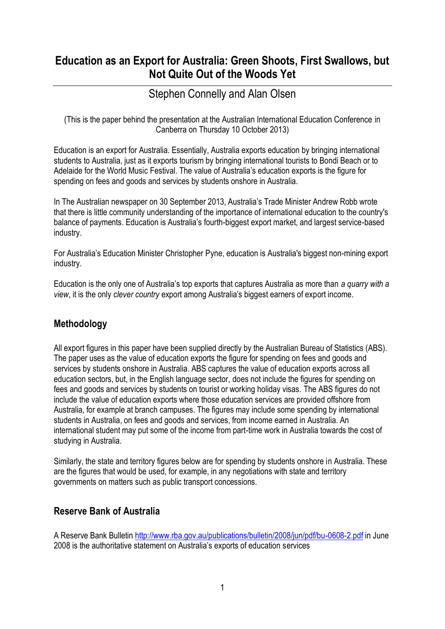# **Education as an Export for Australia: Green Shoots, First Swallows, but Not Quite Out of the Woods Yet**

# Stephen Connelly and Alan Olsen

(This is the paper behind the presentation at the Australian International Education Conference in Canberra on Thursday 10 October 2013)

Education is an export for Australia. Essentially, Australia exports education by bringing international students to Australia, just as it exports tourism by bringing international tourists to Bondi Beach or to Adelaide for the World Music Festival. The value of Australia's education exports is the figure for spending on fees and goods and services by students onshore in Australia.

In The Australian newspaper on 30 September 2013, Australia's Trade Minister Andrew Robb wrote that there is little community understanding of the importance of international education to the country's balance of payments. Education is Australia's fourth-biggest export market, and largest service-based industry.

For Australia's Education Minister Christopher Pyne, education is Australia's biggest non-mining export industry.

Education is the only one of Australia's top exports that captures Australia as more than *a quarry with a view*, it is the only *clever country* export among Australia's biggest earners of export income.

#### **Methodology**

All export figures in this paper have been supplied directly by the Australian Bureau of Statistics (ABS). The paper uses as the value of education exports the figure for spending on fees and goods and services by students onshore in Australia. ABS captures the value of education exports across all education sectors, but, in the English language sector, does not include the figures for spending on fees and goods and services by students on tourist or working holiday visas. The ABS figures do not include the value of education exports where those education services are provided offshore from Australia, for example at branch campuses. The figures may include some spending by international students in Australia, on fees and goods and services, from income earned in Australia. An international student may put some of the income from part-time work in Australia towards the cost of studying in Australia.

Similarly, the state and territory figures below are for spending by students onshore in Australia. These are the figures that would be used, for example, in any negotiations with state and territory governments on matters such as public transport concessions.

### **Reserve Bank of Australia**

A Reserve Bank Bulletin <http://www.rba.gov.au/publications/bulletin/2008/jun/pdf/bu-0608-2.pdf> in June 2008 is the authoritative statement on Australia's exports of education services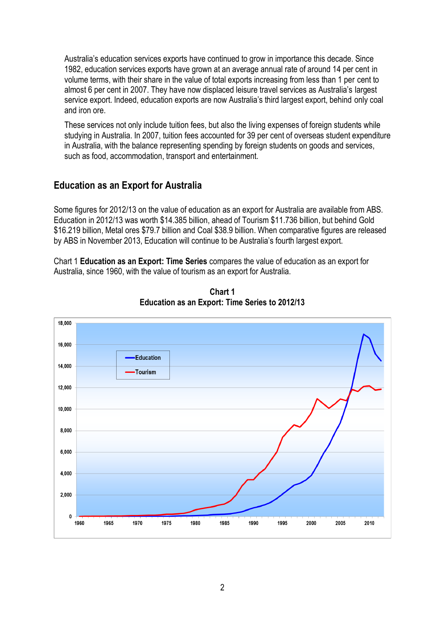Australia's education services exports have continued to grow in importance this decade. Since 1982, education services exports have grown at an average annual rate of around 14 per cent in volume terms, with their share in the value of total exports increasing from less than 1 per cent to almost 6 per cent in 2007. They have now displaced leisure travel services as Australia's largest service export. Indeed, education exports are now Australia's third largest export, behind only coal and iron ore.

These services not only include tuition fees, but also the living expenses of foreign students while studying in Australia. In 2007, tuition fees accounted for 39 per cent of overseas student expenditure in Australia, with the balance representing spending by foreign students on goods and services, such as food, accommodation, transport and entertainment.

#### **Education as an Export for Australia**

Some figures for 2012/13 on the value of education as an export for Australia are available from ABS. Education in 2012/13 was worth \$14.385 billion, ahead of Tourism \$11.736 billion, but behind Gold \$16.219 billion, Metal ores \$79.7 billion and Coal \$38.9 billion. When comparative figures are released by ABS in November 2013, Education will continue to be Australia's fourth largest export.

Chart 1 **Education as an Export: Time Series** compares the value of education as an export for Australia, since 1960, with the value of tourism as an export for Australia.



**Chart 1 Education as an Export: Time Series to 2012/13**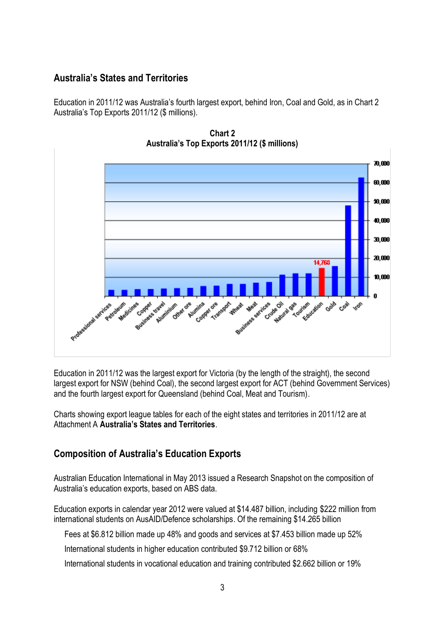#### **Australia's States and Territories**

Education in 2011/12 was Australia's fourth largest export, behind Iron, Coal and Gold, as in Chart 2 Australia's Top Exports 2011/12 (\$ millions).



**Chart 2 Australia's Top Exports 2011/12 (\$ millions)**

Education in 2011/12 was the largest export for Victoria (by the length of the straight), the second largest export for NSW (behind Coal), the second largest export for ACT (behind Government Services) and the fourth largest export for Queensland (behind Coal, Meat and Tourism).

Charts showing export league tables for each of the eight states and territories in 2011/12 are at Attachment A **Australia's States and Territories**.

#### **Composition of Australia's Education Exports**

Australian Education International in May 2013 issued a Research Snapshot on the composition of Australia's education exports, based on ABS data.

Education exports in calendar year 2012 were valued at \$14.487 billion, including \$222 million from international students on AusAID/Defence scholarships. Of the remaining \$14.265 billion

Fees at \$6.812 billion made up 48% and goods and services at \$7.453 billion made up 52%

International students in higher education contributed \$9.712 billion or 68%

International students in vocational education and training contributed \$2.662 billion or 19%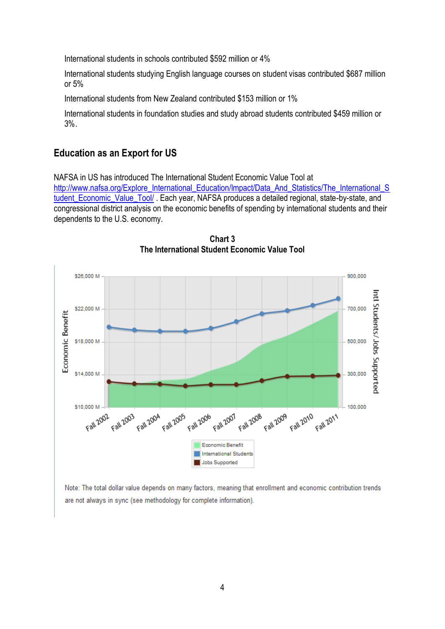International students in schools contributed \$592 million or 4%

International students studying English language courses on student visas contributed \$687 million or 5%

International students from New Zealand contributed \$153 million or 1%

International students in foundation studies and study abroad students contributed \$459 million or 3%.

#### **Education as an Export for US**

NAFSA in US has introduced The International Student Economic Value Tool at

[http://www.nafsa.org/Explore\\_International\\_Education/Impact/Data\\_And\\_Statistics/The\\_International\\_S](http://www.nafsa.org/Explore_International_Education/Impact/Data_And_Statistics/The_International_Student_Economic_Value_Tool/) [tudent\\_Economic\\_Value\\_Tool/](http://www.nafsa.org/Explore_International_Education/Impact/Data_And_Statistics/The_International_Student_Economic_Value_Tool/). Each year, NAFSA produces a detailed regional, state-by-state, and congressional district analysis on the economic benefits of spending by international students and their dependents to the U.S. economy.



**Chart 3 The International Student Economic Value Tool**

Note: The total dollar value depends on many factors, meaning that enrollment and economic contribution trends are not always in sync (see methodology for complete information).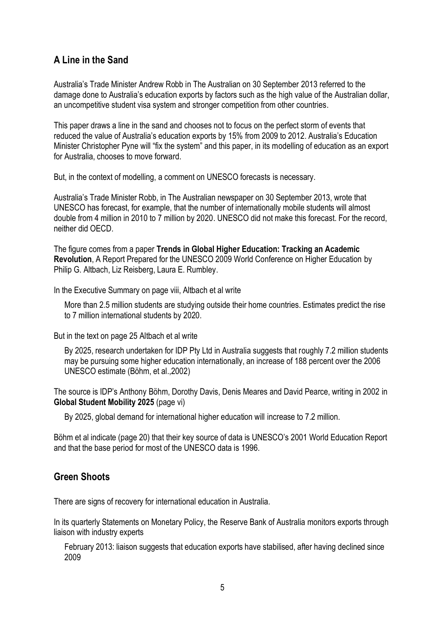#### **A Line in the Sand**

Australia's Trade Minister Andrew Robb in The Australian on 30 September 2013 referred to the damage done to Australia's education exports by factors such as the high value of the Australian dollar, an uncompetitive student visa system and stronger competition from other countries.

This paper draws a line in the sand and chooses not to focus on the perfect storm of events that reduced the value of Australia's education exports by 15% from 2009 to 2012. Australia's Education Minister Christopher Pyne will "fix the system" and this paper, in its modelling of education as an export for Australia, chooses to move forward.

But, in the context of modelling, a comment on UNESCO forecasts is necessary.

Australia's Trade Minister Robb, in The Australian newspaper on 30 September 2013, wrote that UNESCO has forecast, for example, that the number of internationally mobile students will almost double from 4 million in 2010 to 7 million by 2020. UNESCO did not make this forecast. For the record, neither did OECD.

The figure comes from a paper **Trends in Global Higher Education: Tracking an Academic Revolution**, A Report Prepared for the UNESCO 2009 World Conference on Higher Education by Philip G. Altbach, Liz Reisberg, Laura E. Rumbley.

In the Executive Summary on page viii, Altbach et al write

More than 2.5 million students are studying outside their home countries. Estimates predict the rise to 7 million international students by 2020.

But in the text on page 25 Altbach et al write

By 2025, research undertaken for IDP Pty Ltd in Australia suggests that roughly 7.2 million students may be pursuing some higher education internationally, an increase of 188 percent over the 2006 UNESCO estimate (Böhm, et al.,2002)

The source is IDP's Anthony Böhm, Dorothy Davis, Denis Meares and David Pearce, writing in 2002 in **Global Student Mobility 2025** (page vi)

By 2025, global demand for international higher education will increase to 7.2 million.

Böhm et al indicate (page 20) that their key source of data is UNESCO's 2001 World Education Report and that the base period for most of the UNESCO data is 1996.

#### **Green Shoots**

There are signs of recovery for international education in Australia.

In its quarterly Statements on Monetary Policy, the Reserve Bank of Australia monitors exports through liaison with industry experts

February 2013: liaison suggests that education exports have stabilised, after having declined since 2009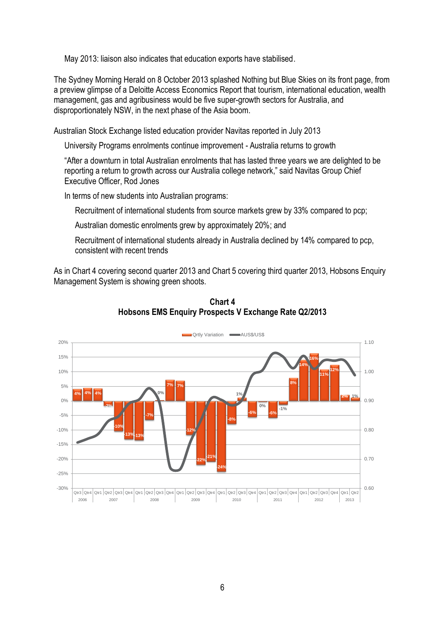May 2013: liaison also indicates that education exports have stabilised.

The Sydney Morning Herald on 8 October 2013 splashed Nothing but Blue Skies on its front page, from a preview glimpse of a Deloitte Access Economics Report that tourism, international education, wealth management, gas and agribusiness would be five super-growth sectors for Australia, and disproportionately NSW, in the next phase of the Asia boom.

Australian Stock Exchange listed education provider Navitas reported in July 2013

University Programs enrolments continue improvement - Australia returns to growth

"After a downturn in total Australian enrolments that has lasted three years we are delighted to be reporting a return to growth across our Australia college network," said Navitas Group Chief Executive Officer, Rod Jones

In terms of new students into Australian programs:

Recruitment of international students from source markets grew by 33% compared to pcp;

Australian domestic enrolments grew by approximately 20%; and

Recruitment of international students already in Australia declined by 14% compared to pcp, consistent with recent trends

As in Chart 4 covering second quarter 2013 and Chart 5 covering third quarter 2013, Hobsons Enquiry Management System is showing green shoots.



**Chart 4 Hobsons EMS Enquiry Prospects V Exchange Rate Q2/2013**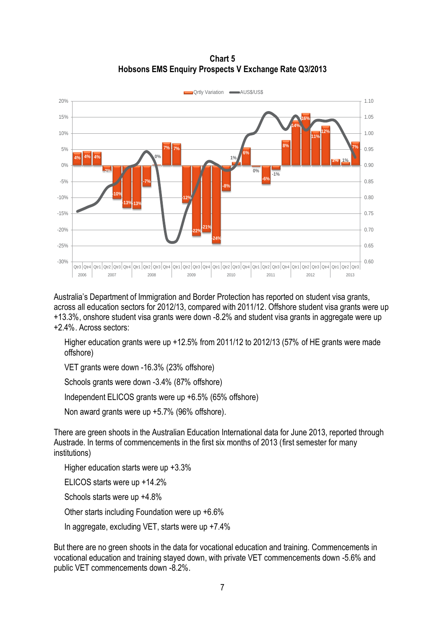#### **Chart 5 Hobsons EMS Enquiry Prospects V Exchange Rate Q3/2013**



Australia's Department of Immigration and Border Protection has reported on student visa grants, across all education sectors for 2012/13, compared with 2011/12. Offshore student visa grants were up +13.3%, onshore student visa grants were down -8.2% and student visa grants in aggregate were up +2.4%. Across sectors:

Higher education grants were up +12.5% from 2011/12 to 2012/13 (57% of HE grants were made offshore)

VET grants were down -16.3% (23% offshore)

Schools grants were down -3.4% (87% offshore)

Independent ELICOS grants were up +6.5% (65% offshore)

Non award grants were up +5.7% (96% offshore).

There are green shoots in the Australian Education International data for June 2013, reported through Austrade. In terms of commencements in the first six months of 2013 (first semester for many institutions)

Higher education starts were up +3.3%

ELICOS starts were up +14.2%

Schools starts were up +4.8%

Other starts including Foundation were up +6.6%

In aggregate, excluding VET, starts were up +7.4%

But there are no green shoots in the data for vocational education and training. Commencements in vocational education and training stayed down, with private VET commencements down -5.6% and public VET commencements down -8.2%.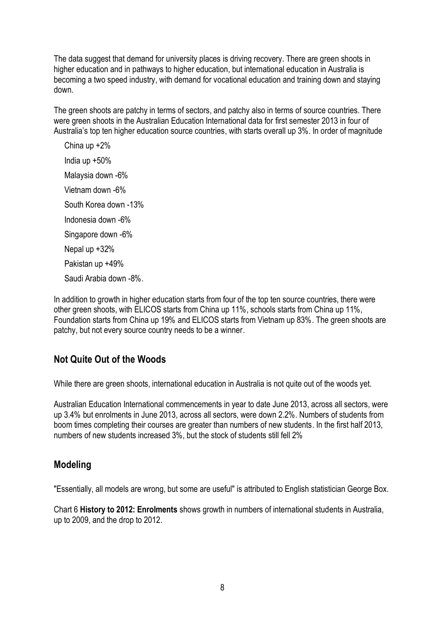The data suggest that demand for university places is driving recovery. There are green shoots in higher education and in pathways to higher education, but international education in Australia is becoming a two speed industry, with demand for vocational education and training down and staying down.

The green shoots are patchy in terms of sectors, and patchy also in terms of source countries. There were green shoots in the Australian Education International data for first semester 2013 in four of Australia's top ten higher education source countries, with starts overall up 3%. In order of magnitude

China up +2% India up +50% Malaysia down -6% Vietnam down -6% South Korea down -13% Indonesia down -6% Singapore down -6% Nepal up +32% Pakistan up +49% Saudi Arabia down -8%.

In addition to growth in higher education starts from four of the top ten source countries, there were other green shoots, with ELICOS starts from China up 11%, schools starts from China up 11%, Foundation starts from China up 19% and ELICOS starts from Vietnam up 83%. The green shoots are patchy, but not every source country needs to be a winner.

### **Not Quite Out of the Woods**

While there are green shoots, international education in Australia is not quite out of the woods yet.

Australian Education International commencements in year to date June 2013, across all sectors, were up 3.4% but enrolments in June 2013, across all sectors, were down 2.2%. Numbers of students from boom times completing their courses are greater than numbers of new students. In the first half 2013, numbers of new students increased 3%, but the stock of students still fell 2%

#### **Modeling**

"Essentially, all models are wrong, but some are useful" is attributed to English statistician George Box.

Chart 6 **History to 2012: Enrolments** shows growth in numbers of international students in Australia, up to 2009, and the drop to 2012.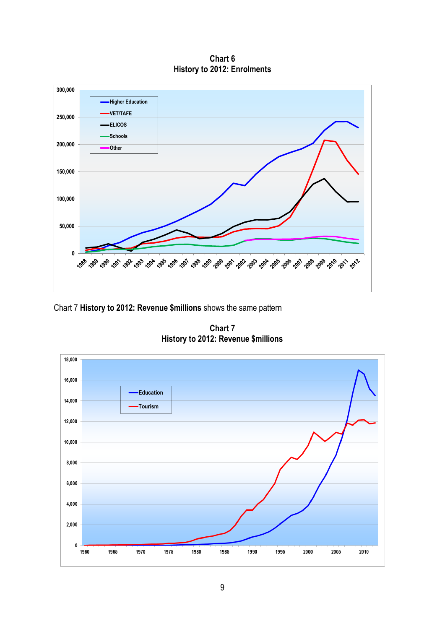**Chart 6 History to 2012: Enrolments**



Chart 7 **History to 2012: Revenue \$millions** shows the same pattern

**Chart 7 History to 2012: Revenue \$millions**

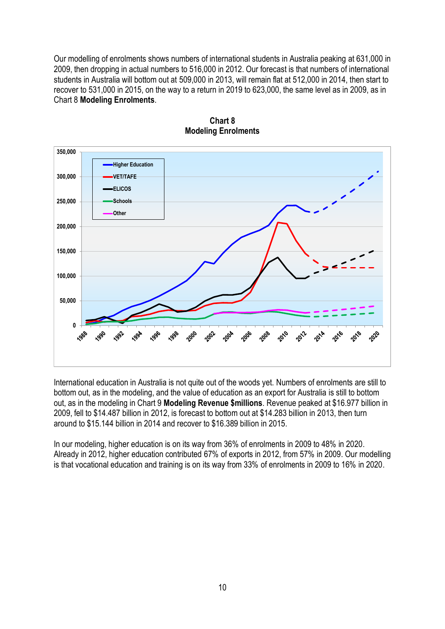Our modelling of enrolments shows numbers of international students in Australia peaking at 631,000 in 2009, then dropping in actual numbers to 516,000 in 2012. Our forecast is that numbers of international students in Australia will bottom out at 509,000 in 2013, will remain flat at 512,000 in 2014, then start to recover to 531,000 in 2015, on the way to a return in 2019 to 623,000, the same level as in 2009, as in Chart 8 **Modeling Enrolments**.



**Chart 8 Modeling Enrolments**

International education in Australia is not quite out of the woods yet. Numbers of enrolments are still to bottom out, as in the modeling, and the value of education as an export for Australia is still to bottom out, as in the modeling in Chart 9 **Modeling Revenue \$millions**. Revenue peaked at \$16.977 billion in 2009, fell to \$14.487 billion in 2012, is forecast to bottom out at \$14.283 billion in 2013, then turn around to \$15.144 billion in 2014 and recover to \$16.389 billion in 2015.

In our modeling, higher education is on its way from 36% of enrolments in 2009 to 48% in 2020. Already in 2012, higher education contributed 67% of exports in 2012, from 57% in 2009. Our modelling is that vocational education and training is on its way from 33% of enrolments in 2009 to 16% in 2020.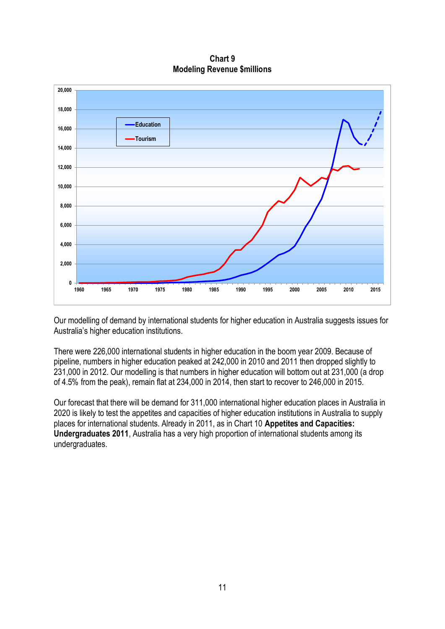**Chart 9 Modeling Revenue \$millions**



Our modelling of demand by international students for higher education in Australia suggests issues for Australia's higher education institutions.

There were 226,000 international students in higher education in the boom year 2009. Because of pipeline, numbers in higher education peaked at 242,000 in 2010 and 2011 then dropped slightly to 231,000 in 2012. Our modelling is that numbers in higher education will bottom out at 231,000 (a drop of 4.5% from the peak), remain flat at 234,000 in 2014, then start to recover to 246,000 in 2015.

Our forecast that there will be demand for 311,000 international higher education places in Australia in 2020 is likely to test the appetites and capacities of higher education institutions in Australia to supply places for international students. Already in 2011, as in Chart 10 **Appetites and Capacities: Undergraduates 2011**, Australia has a very high proportion of international students among its undergraduates.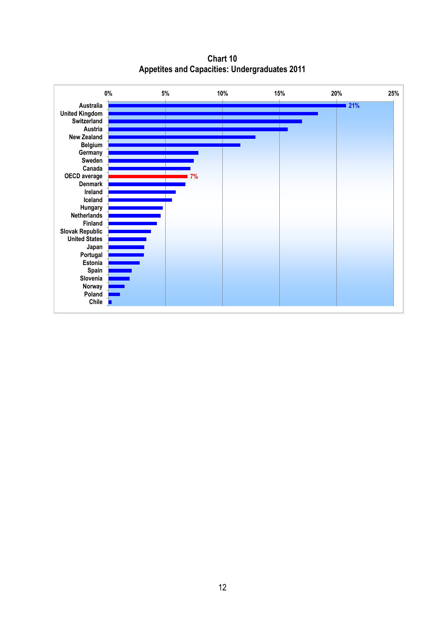**Chart 10 Appetites and Capacities: Undergraduates 2011**

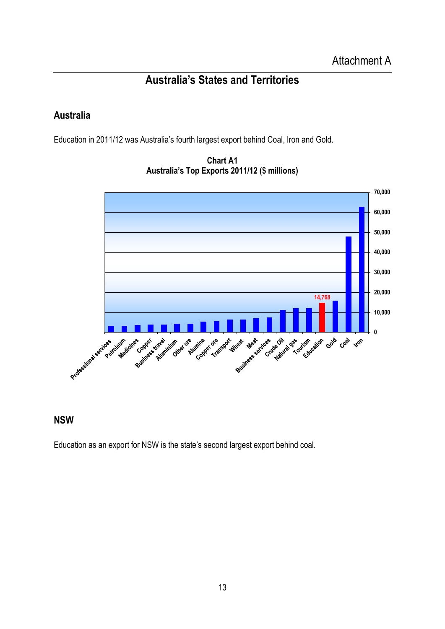# **Australia's States and Territories**

### **Australia**

Education in 2011/12 was Australia's fourth largest export behind Coal, Iron and Gold.



**Chart A1 Australia's Top Exports 2011/12 (\$ millions)**

### **NSW**

Education as an export for NSW is the state's second largest export behind coal.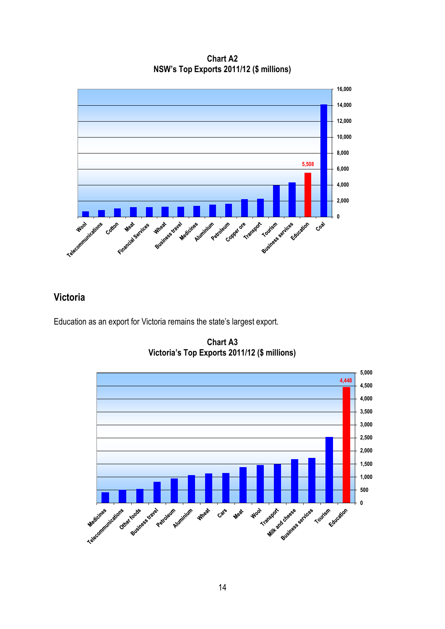**Chart A2 NSW's Top Exports 2011/12 (\$ millions)**



### **Victoria**

Education as an export for Victoria remains the state's largest export.

**Chart A3 Victoria's Top Exports 2011/12 (\$ millions)**

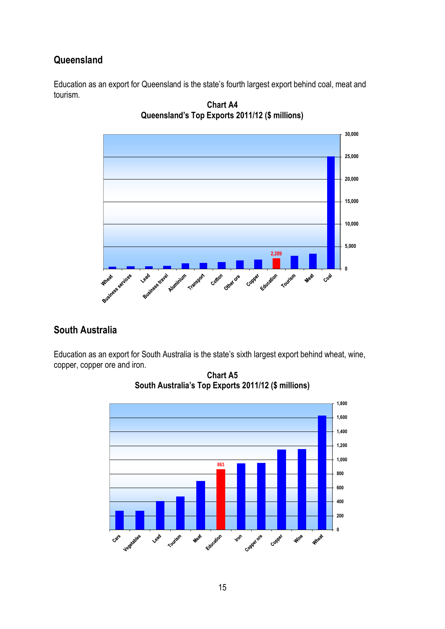### **Queensland**

Education as an export for Queensland is the state's fourth largest export behind coal, meat and tourism.



**Chart A4 Queensland's Top Exports 2011/12 (\$ millions)**

# **South Australia**

Education as an export for South Australia is the state's sixth largest export behind wheat, wine, copper, copper ore and iron.



**Chart A5 South Australia's Top Exports 2011/12 (\$ millions)**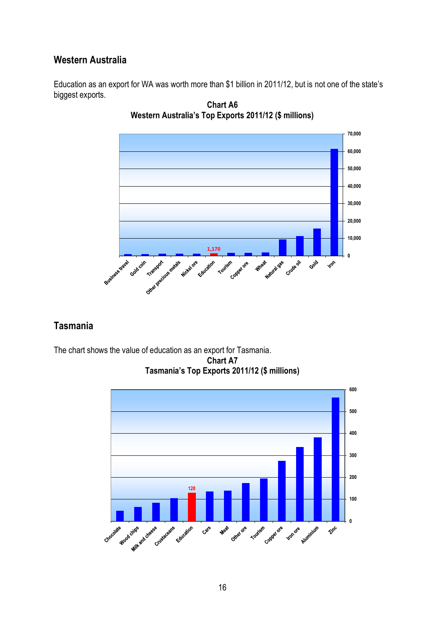#### **Western Australia**

Education as an export for WA was worth more than \$1 billion in 2011/12, but is not one of the state's biggest exports.



**Chart A6 Western Australia's Top Exports 2011/12 (\$ millions)**

# **Tasmania**

The chart shows the value of education as an export for Tasmania. **Chart A7 Tasmania's Top Exports 2011/12 (\$ millions)**